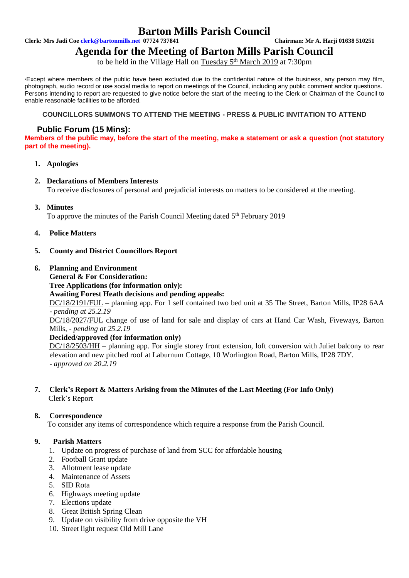# **Barton Mills Parish Council**

**Clerk: Mrs Jadi Coe [clerk@bartonmills.net](mailto:clerk@bartonmills.net) 07724 737841 Chairman: Mr A. Harji 01638 510251**

# **Agenda for the Meeting of Barton Mills Parish Council**

to be held in the Village Hall on Tuesday 5<sup>th</sup> March 2019 at 7:30pm

\*Except where members of the public have been excluded due to the confidential nature of the business, any person may film, photograph, audio record or use social media to report on meetings of the Council, including any public comment and/or questions. Persons intending to report are requested to give notice before the start of the meeting to the Clerk or Chairman of the Council to enable reasonable facilities to be afforded.

### **COUNCILLORS SUMMONS TO ATTEND THE MEETING - PRESS & PUBLIC INVITATION TO ATTEND**

## **Public Forum (15 Mins):**

**Members of the public may, before the start of the meeting, make a statement or ask a question (not statutory part of the meeting).**

**1. Apologies**

### **2. Declarations of Members Interests**

To receive disclosures of personal and prejudicial interests on matters to be considered at the meeting.

**3. Minutes**

To approve the minutes of the Parish Council Meeting dated 5<sup>th</sup> February 2019

- **4. Police Matters**
- **5. County and District Councillors Report**
- **6. Planning and Environment**
	- **General & For Consideration: Tree Applications (for information only): Awaiting Forest Heath decisions and pending appeals:** DC/18/2191/FUL – planning app. For 1 self contained two bed unit at 35 The Street, Barton Mills, IP28 6AA *- pending at 25.2.19*

DC/18/2027/FUL change of use of land for sale and display of cars at Hand Car Wash, Fiveways, Barton Mills, - *pending at 25.2.19*

**Decided/approved (for information only)**

DC/18/2503/HH – planning app. For single storey front extension, loft conversion with Juliet balcony to rear elevation and new pitched roof at Laburnum Cottage, 10 Worlington Road, Barton Mills, IP28 7DY. *- approved on 20.2.19*

**7. Clerk's Report & Matters Arising from the Minutes of the Last Meeting (For Info Only)** Clerk's Report

### **8. Correspondence**

To consider any items of correspondence which require a response from the Parish Council.

### **9. Parish Matters**

- 1. Update on progress of purchase of land from SCC for affordable housing
- 2. Football Grant update
- 3. Allotment lease update
- 4. Maintenance of Assets
- 5. SID Rota
- 6. Highways meeting update
- 7. Elections update
- 8. Great British Spring Clean
- 9. Update on visibility from drive opposite the VH
- 10. Street light request Old Mill Lane